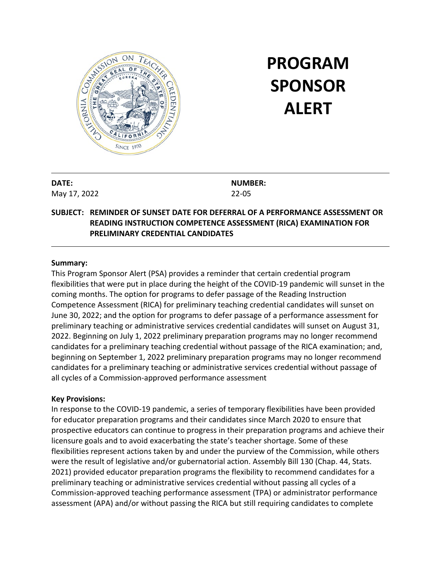

# **PROGRAM SPONSOR ALERT**

**DATE:** May 17, 2022 **NUMBER:** 22-05

## **SUBJECT: REMINDER OF SUNSET DATE FOR DEFERRAL OF A PERFORMANCE ASSESSMENT OR READING INSTRUCTION COMPETENCE ASSESSMENT (RICA) EXAMINATION FOR PRELIMINARY CREDENTIAL CANDIDATES**

#### **Summary:**

This Program Sponsor Alert (PSA) provides a reminder that certain credential program flexibilities that were put in place during the height of the COVID-19 pandemic will sunset in the coming months. The option for programs to defer passage of the Reading Instruction Competence Assessment (RICA) for preliminary teaching credential candidates will sunset on June 30, 2022; and the option for programs to defer passage of a performance assessment for preliminary teaching or administrative services credential candidates will sunset on August 31, 2022. Beginning on July 1, 2022 preliminary preparation programs may no longer recommend candidates for a preliminary teaching credential without passage of the RICA examination; and, beginning on September 1, 2022 preliminary preparation programs may no longer recommend candidates for a preliminary teaching or administrative services credential without passage of all cycles of a Commission-approved performance assessment

#### **Key Provisions:**

In response to the COVID-19 pandemic, a series of temporary flexibilities have been provided for educator preparation programs and their candidates since March 2020 to ensure that prospective educators can continue to progress in their preparation programs and achieve their licensure goals and to avoid exacerbating the state's teacher shortage. Some of these flexibilities represent actions taken by and under the purview of the Commission, while others were the result of legislative and/or gubernatorial action. Assembly Bill 130 (Chap. 44, Stats. 2021) provided educator preparation programs the flexibility to recommend candidates for a preliminary teaching or administrative services credential without passing all cycles of a Commission-approved teaching performance assessment (TPA) or administrator performance assessment (APA) and/or without passing the RICA but still requiring candidates to complete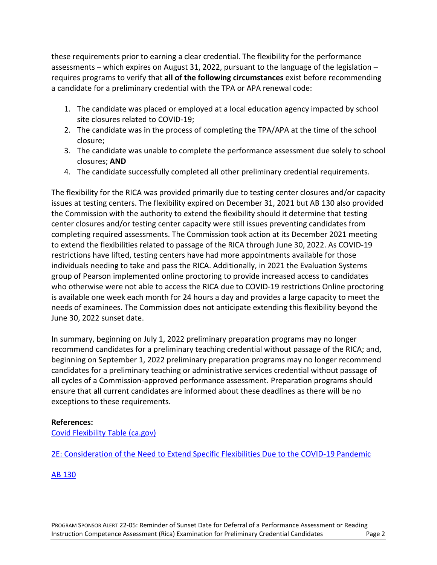these requirements prior to earning a clear credential. The flexibility for the performance assessments – which expires on August 31, 2022, pursuant to the language of the legislation – requires programs to verify that **all of the following circumstances** exist before recommending a candidate for a preliminary credential with the TPA or APA renewal code:

- 1. The candidate was placed or employed at a local education agency impacted by school site closures related to COVID-19;
- 2. The candidate was in the process of completing the TPA/APA at the time of the school closure;
- 3. The candidate was unable to complete the performance assessment due solely to school closures; **AND**
- 4. The candidate successfully completed all other preliminary credential requirements.

The flexibility for the RICA was provided primarily due to testing center closures and/or capacity issues at testing centers. The flexibility expired on December 31, 2021 but AB 130 also provided the Commission with the authority to extend the flexibility should it determine that testing center closures and/or testing center capacity were still issues preventing candidates from completing required assessments. The Commission took action at its December 2021 meeting to extend the flexibilities related to passage of the RICA through June 30, 2022. As COVID-19 restrictions have lifted, testing centers have had more appointments available for those individuals needing to take and pass the RICA. Additionally, in 2021 the Evaluation Systems group of Pearson implemented online proctoring to provide increased access to candidates who otherwise were not able to access the RICA due to COVID-19 restrictions Online proctoring is available one week each month for 24 hours a day and provides a large capacity to meet the needs of examinees. The Commission does not anticipate extending this flexibility beyond the June 30, 2022 sunset date.

In summary, beginning on July 1, 2022 preliminary preparation programs may no longer recommend candidates for a preliminary teaching credential without passage of the RICA; and, beginning on September 1, 2022 preliminary preparation programs may no longer recommend candidates for a preliminary teaching or administrative services credential without passage of all cycles of a Commission-approved performance assessment. Preparation programs should ensure that all current candidates are informed about these deadlines as there will be no exceptions to these requirements.

### **References:**

[Covid Flexibility Table \(ca.gov\)](https://www.ctc.ca.gov/docs/default-source/educator-prep/files/table-for-covid-flexibility-deadlines.pdf?sfvrsn=cc3f25b1_15)

[2E: Consideration of the Need to Extend Specific Flexibilities Due to the COVID-19 Pandemic](https://www.ctc.ca.gov/docs/default-source/commission/agendas/2021-12/2021-12-2e.pdf?sfvrsn=601925b1_4)

## [AB 130](https://leginfo.legislature.ca.gov/faces/billNavClient.xhtml?bill_id=202120220AB130)